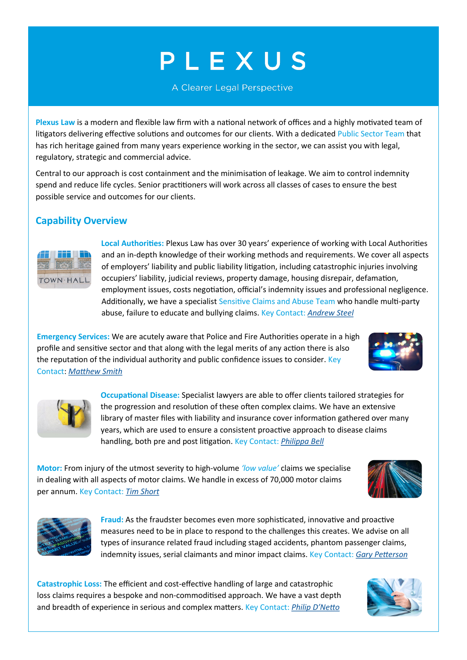# PLEXUS

A Clearer Legal Perspective

**Plexus Law** is a modern and flexible law firm with a national network of offices and a highly motivated team of litigators delivering effective solutions and outcomes for our clients. With a dedicated Public Sector Team that has rich heritage gained from many years experience working in the sector, we can assist you with legal, regulatory, strategic and commercial advice.

Central to our approach is cost containment and the minimisation of leakage. We aim to control indemnity spend and reduce life cycles. Senior practitioners will work across all classes of cases to ensure the best possible service and outcomes for our clients.

### **Capability Overview**



**Local Authorities:** Plexus Law has over 30 years' experience of working with Local Authorities and an in-depth knowledge of their working methods and requirements. We cover all aspects of employers' liability and public liability litigation, including catastrophic injuries involving occupiers' liability, judicial reviews, property damage, housing disrepair, defamation, employment issues, costs negotiation, official's indemnity issues and professional negligence. Additionally, we have a specialist Sensitive Claims and Abuse Team who handle multi-party abuse, failure to educate and bullying claims. Key Contact: *[Andrew Steel](https://plexuslaw.co.uk/team/andrew-steel/)*

**Emergency Services:** We are acutely aware that Police and Fire Authorities operate in a high profile and sensitive sector and that along with the legal merits of any action there is also the reputation of the individual authority and public confidence issues to consider. Key Contact: *[Matthew Smith](https://plexuslaw.co.uk/team/matthew-smith/)*





**Occupational Disease:** Specialist lawyers are able to offer clients tailored strategies for the progression and resolution of these often complex claims. We have an extensive library of master files with liability and insurance cover information gathered over many years, which are used to ensure a consistent proactive approach to disease claims handling, both pre and post litigation. Key Contact: *[Philippa Bell](https://plexuslaw.co.uk/team/philippa-bell/)*

**Motor:** From injury of the utmost severity to high-volume *'low value'* claims we specialise in dealing with all aspects of motor claims. We handle in excess of 70,000 motor claims per annum. Key Contact: *[Tim Short](https://plexuslaw.co.uk/team/tim-short/)*





**Fraud:** As the fraudster becomes even more sophisticated, innovative and proactive measures need to be in place to respond to the challenges this creates. We advise on all types of insurance related fraud including staged accidents, phantom passenger claims, indemnity issues, serial claimants and minor impact claims. Key Contact: *[Gary Petterson](https://plexuslaw.co.uk/team/gary-petterson/)*

**Catastrophic Loss:** The efficient and cost-effective handling of large and catastrophic loss claims requires a bespoke and non-commoditised approach. We have a vast depth and breadth of experience in serious and complex matters. Key Contact: *[Philip D](https://plexuslaw.co.uk/team/philip-dnetto/)'Netto*